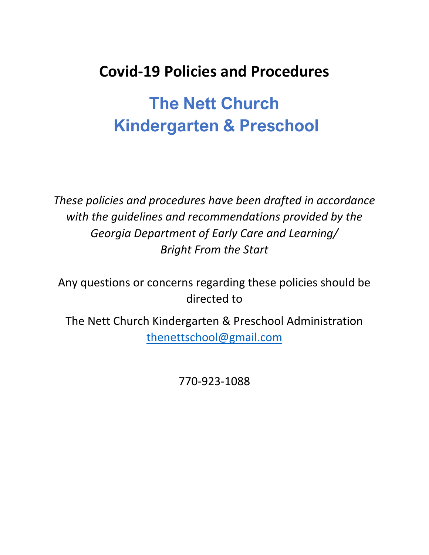# **Covid-19 Policies and Procedures**

# **The Nett Church Kindergarten & Preschool**

*These policies and procedures have been drafted in accordance with the guidelines and recommendations provided by the Georgia Department of Early Care and Learning/ Bright From the Start*

Any questions or concerns regarding these policies should be directed to

The Nett Church Kindergarten & Preschool Administration [thenettschool@gmail.com](mailto:thenettschool@gmail.com)

770-923-1088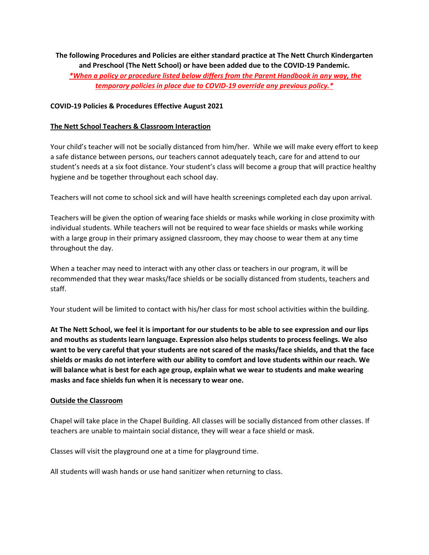**The following Procedures and Policies are either standard practice at The Nett Church Kindergarten and Preschool (The Nett School) or have been added due to the COVID-19 Pandemic.** *\*When a policy or procedure listed below differs from the Parent Handbook in any way, the temporary policies in place due to COVID-19 override any previous policy.\**

#### **COVID-19 Policies & Procedures Effective August 2021**

#### **The Nett School Teachers & Classroom Interaction**

Your child's teacher will not be socially distanced from him/her. While we will make every effort to keep a safe distance between persons, our teachers cannot adequately teach, care for and attend to our student's needs at a six foot distance. Your student's class will become a group that will practice healthy hygiene and be together throughout each school day.

Teachers will not come to school sick and will have health screenings completed each day upon arrival.

Teachers will be given the option of wearing face shields or masks while working in close proximity with individual students. While teachers will not be required to wear face shields or masks while working with a large group in their primary assigned classroom, they may choose to wear them at any time throughout the day.

When a teacher may need to interact with any other class or teachers in our program, it will be recommended that they wear masks/face shields or be socially distanced from students, teachers and staff.

Your student will be limited to contact with his/her class for most school activities within the building.

**At The Nett School, we feel it is important for our students to be able to see expression and our lips and mouths as students learn language. Expression also helps students to process feelings. We also want to be very careful that your students are not scared of the masks/face shields, and that the face shields or masks do not interfere with our ability to comfort and love students within our reach. We will balance what is best for each age group, explain what we wear to students and make wearing masks and face shields fun when it is necessary to wear one.** 

#### **Outside the Classroom**

Chapel will take place in the Chapel Building. All classes will be socially distanced from other classes. If teachers are unable to maintain social distance, they will wear a face shield or mask.

Classes will visit the playground one at a time for playground time.

All students will wash hands or use hand sanitizer when returning to class.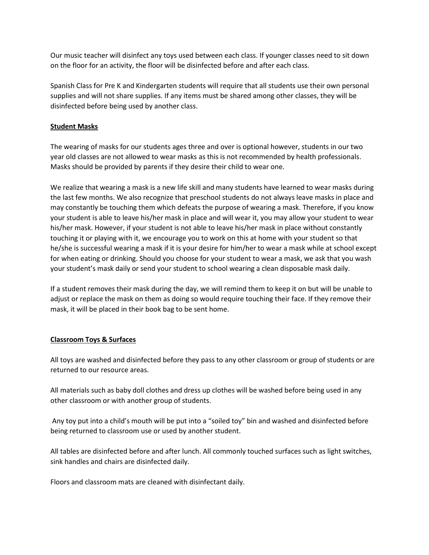Our music teacher will disinfect any toys used between each class. If younger classes need to sit down on the floor for an activity, the floor will be disinfected before and after each class.

Spanish Class for Pre K and Kindergarten students will require that all students use their own personal supplies and will not share supplies. If any items must be shared among other classes, they will be disinfected before being used by another class.

### **Student Masks**

The wearing of masks for our students ages three and over is optional however, students in our two year old classes are not allowed to wear masks as this is not recommended by health professionals. Masks should be provided by parents if they desire their child to wear one.

We realize that wearing a mask is a new life skill and many students have learned to wear masks during the last few months. We also recognize that preschool students do not always leave masks in place and may constantly be touching them which defeats the purpose of wearing a mask. Therefore, if you know your student is able to leave his/her mask in place and will wear it, you may allow your student to wear his/her mask. However, if your student is not able to leave his/her mask in place without constantly touching it or playing with it, we encourage you to work on this at home with your student so that he/she is successful wearing a mask if it is your desire for him/her to wear a mask while at school except for when eating or drinking. Should you choose for your student to wear a mask, we ask that you wash your student's mask daily or send your student to school wearing a clean disposable mask daily.

If a student removes their mask during the day, we will remind them to keep it on but will be unable to adjust or replace the mask on them as doing so would require touching their face. If they remove their mask, it will be placed in their book bag to be sent home.

# **Classroom Toys & Surfaces**

All toys are washed and disinfected before they pass to any other classroom or group of students or are returned to our resource areas.

All materials such as baby doll clothes and dress up clothes will be washed before being used in any other classroom or with another group of students.

Any toy put into a child's mouth will be put into a "soiled toy" bin and washed and disinfected before being returned to classroom use or used by another student.

All tables are disinfected before and after lunch. All commonly touched surfaces such as light switches, sink handles and chairs are disinfected daily.

Floors and classroom mats are cleaned with disinfectant daily.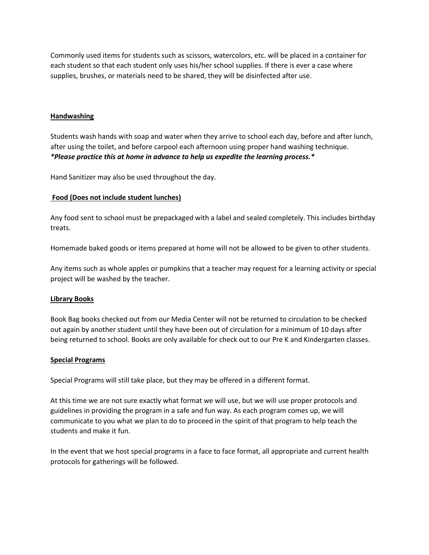Commonly used items for students such as scissors, watercolors, etc. will be placed in a container for each student so that each student only uses his/her school supplies. If there is ever a case where supplies, brushes, or materials need to be shared, they will be disinfected after use.

#### **Handwashing**

Students wash hands with soap and water when they arrive to school each day, before and after lunch, after using the toilet, and before carpool each afternoon using proper hand washing technique. *\*Please practice this at home in advance to help us expedite the learning process.\**

Hand Sanitizer may also be used throughout the day.

#### **Food (Does not include student lunches)**

Any food sent to school must be prepackaged with a label and sealed completely. This includes birthday treats.

Homemade baked goods or items prepared at home will not be allowed to be given to other students.

Any items such as whole apples or pumpkins that a teacher may request for a learning activity or special project will be washed by the teacher.

#### **Library Books**

Book Bag books checked out from our Media Center will not be returned to circulation to be checked out again by another student until they have been out of circulation for a minimum of 10 days after being returned to school. Books are only available for check out to our Pre K and Kindergarten classes.

#### **Special Programs**

Special Programs will still take place, but they may be offered in a different format.

At this time we are not sure exactly what format we will use, but we will use proper protocols and guidelines in providing the program in a safe and fun way. As each program comes up, we will communicate to you what we plan to do to proceed in the spirit of that program to help teach the students and make it fun.

In the event that we host special programs in a face to face format, all appropriate and current health protocols for gatherings will be followed.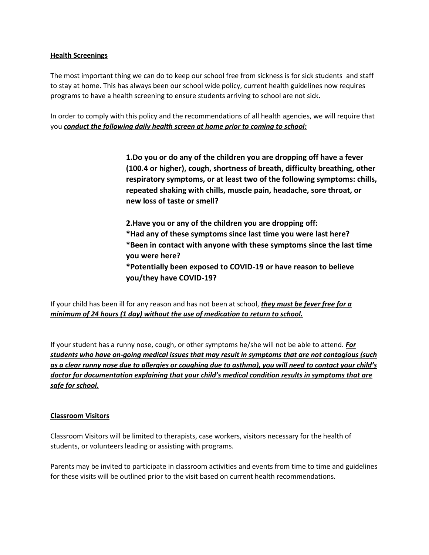#### **Health Screenings**

The most important thing we can do to keep our school free from sickness is for sick students and staff to stay at home. This has always been our school wide policy, current health guidelines now requires programs to have a health screening to ensure students arriving to school are not sick.

In order to comply with this policy and the recommendations of all health agencies, we will require that you *conduct the following daily health screen at home prior to coming to school:*

> **1.Do you or do any of the children you are dropping off have a fever (100.4 or higher), cough, shortness of breath, difficulty breathing, other respiratory symptoms, or at least two of the following symptoms: chills, repeated shaking with chills, muscle pain, headache, sore throat, or new loss of taste or smell?**

**2.Have you or any of the children you are dropping off: \*Had any of these symptoms since last time you were last here? \*Been in contact with anyone with these symptoms since the last time you were here? \*Potentially been exposed to COVID-19 or have reason to believe you/they have COVID-19?**

If your child has been ill for any reason and has not been at school, *they must be fever free for a minimum of 24 hours (1 day) without the use of medication to return to school.*

If your student has a runny nose, cough, or other symptoms he/she will not be able to attend. *For students who have on-going medical issues that may result in symptoms that are not contagious (such as a clear runny nose due to allergies or coughing due to asthma), you will need to contact your child's doctor for documentation explaining that your child's medical condition results in symptoms that are safe for school.* 

# **Classroom Visitors**

Classroom Visitors will be limited to therapists, case workers, visitors necessary for the health of students, or volunteers leading or assisting with programs.

Parents may be invited to participate in classroom activities and events from time to time and guidelines for these visits will be outlined prior to the visit based on current health recommendations.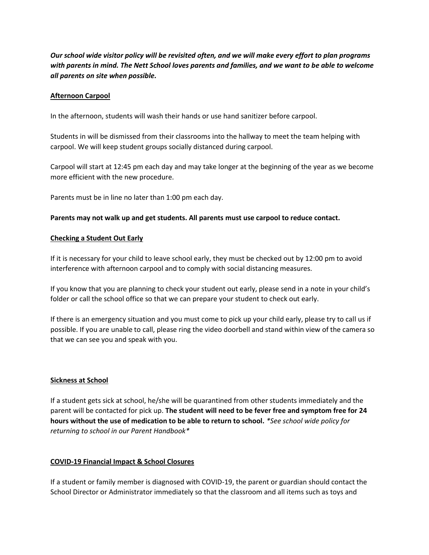*Our school wide visitor policy will be revisited often, and we will make every effort to plan programs with parents in mind. The Nett School loves parents and families, and we want to be able to welcome all parents on site when possible.* 

#### **Afternoon Carpool**

In the afternoon, students will wash their hands or use hand sanitizer before carpool.

Students in will be dismissed from their classrooms into the hallway to meet the team helping with carpool. We will keep student groups socially distanced during carpool.

Carpool will start at 12:45 pm each day and may take longer at the beginning of the year as we become more efficient with the new procedure.

Parents must be in line no later than 1:00 pm each day.

## **Parents may not walk up and get students. All parents must use carpool to reduce contact.**

#### **Checking a Student Out Early**

If it is necessary for your child to leave school early, they must be checked out by 12:00 pm to avoid interference with afternoon carpool and to comply with social distancing measures.

If you know that you are planning to check your student out early, please send in a note in your child's folder or call the school office so that we can prepare your student to check out early.

If there is an emergency situation and you must come to pick up your child early, please try to call us if possible. If you are unable to call, please ring the video doorbell and stand within view of the camera so that we can see you and speak with you.

#### **Sickness at School**

If a student gets sick at school, he/she will be quarantined from other students immediately and the parent will be contacted for pick up. **The student will need to be fever free and symptom free for 24 hours without the use of medication to be able to return to school.** *\*See school wide policy for returning to school in our Parent Handbook\**

# **COVID-19 Financial Impact & School Closures**

If a student or family member is diagnosed with COVID-19, the parent or guardian should contact the School Director or Administrator immediately so that the classroom and all items such as toys and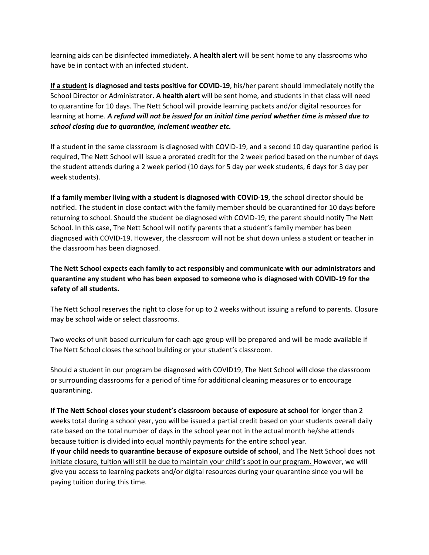learning aids can be disinfected immediately. **A health alert** will be sent home to any classrooms who have be in contact with an infected student.

**If a student is diagnosed and tests positive for COVID-19**, his/her parent should immediately notify the School Director or Administrator**. A health alert** will be sent home, and students in that class will need to quarantine for 10 days. The Nett School will provide learning packets and/or digital resources for learning at home. *A refund will not be issued for an initial time period whether time is missed due to school closing due to quarantine, inclement weather etc.* 

If a student in the same classroom is diagnosed with COVID-19, and a second 10 day quarantine period is required, The Nett School will issue a prorated credit for the 2 week period based on the number of days the student attends during a 2 week period (10 days for 5 day per week students, 6 days for 3 day per week students).

**If a family member living with a student is diagnosed with COVID-19**, the school director should be notified. The student in close contact with the family member should be quarantined for 10 days before returning to school. Should the student be diagnosed with COVID-19, the parent should notify The Nett School. In this case, The Nett School will notify parents that a student's family member has been diagnosed with COVID-19. However, the classroom will not be shut down unless a student or teacher in the classroom has been diagnosed.

**The Nett School expects each family to act responsibly and communicate with our administrators and quarantine any student who has been exposed to someone who is diagnosed with COVID-19 for the safety of all students.** 

The Nett School reserves the right to close for up to 2 weeks without issuing a refund to parents. Closure may be school wide or select classrooms.

Two weeks of unit based curriculum for each age group will be prepared and will be made available if The Nett School closes the school building or your student's classroom.

Should a student in our program be diagnosed with COVID19, The Nett School will close the classroom or surrounding classrooms for a period of time for additional cleaning measures or to encourage quarantining.

**If The Nett School closes your student's classroom because of exposure at school** for longer than 2 weeks total during a school year, you will be issued a partial credit based on your students overall daily rate based on the total number of days in the school year not in the actual month he/she attends because tuition is divided into equal monthly payments for the entire school year.

**If your child needs to quarantine because of exposure outside of school**, and The Nett School does not initiate closure, tuition will still be due to maintain your child's spot in our program. However, we will give you access to learning packets and/or digital resources during your quarantine since you will be paying tuition during this time.